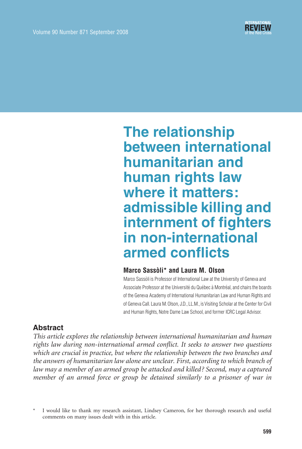# The relationship between international humanitarian and human rights law where it matters: admissible killing and internment of fighters in non-international armed conflicts

#### Marco Sassòli\* and Laura M. Olson

Marco Sasso'li is Professor of International Law at the University of Geneva and Associate Professor at the Université du Québec à Montréal, and chairs the boards of the Geneva Academy of International Humanitarian Law and Human Rights and of Geneva Call. Laura M. Olson, J.D., LL.M., is Visiting Scholar at the Center for Civil and Human Rights, Notre Dame Law School, and former ICRC Legal Advisor.

## Abstract

This article explores the relationship between international humanitarian and human rights law during non-international armed conflict. It seeks to answer two questions which are crucial in practice, but where the relationship between the two branches and the answers of humanitarian law alone are unclear. First, according to which branch of law may a member of an armed group be attacked and killed ? Second, may a captured member of an armed force or group be detained similarly to a prisoner of war in

I would like to thank my research assistant, Lindsey Cameron, for her thorough research and useful comments on many issues dealt with in this article.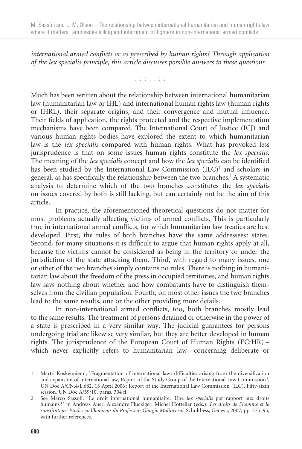international armed conflicts or as prescribed by human rights ? Through application of the lex specialis principle, this article discusses possible answers to these questions.

#### **TERRITE**

Much has been written about the relationship between international humanitarian law (humanitarian law or IHL) and international human rights law (human rights or IHRL), their separate origins, and their convergence and mutual influence. Their fields of application, the rights protected and the respective implementation mechanisms have been compared. The International Court of Justice (ICJ) and various human rights bodies have explored the extent to which humanitarian law is the lex specialis compared with human rights. What has provoked less jurisprudence is that on some issues human rights constitute the lex specialis. The meaning of the lex specialis concept and how the lex specialis can be identified has been studied by the International Law Commission (ILC)<sup>1</sup> and scholars in general, as has specifically the relationship between the two branches.<sup>2</sup> A systematic analysis to determine which of the two branches constitutes the lex specialis on issues covered by both is still lacking, but can certainly not be the aim of this article.

In practice, the aforementioned theoretical questions do not matter for most problems actually affecting victims of armed conflicts. This is particularly true in international armed conflicts, for which humanitarian law treaties are best developed. First, the rules of both branches have the same addressees: states. Second, for many situations it is difficult to argue that human rights apply at all, because the victims cannot be considered as being in the territory or under the jurisdiction of the state attacking them. Third, with regard to many issues, one or other of the two branches simply contains no rules. There is nothing in humanitarian law about the freedom of the press in occupied territories, and human rights law says nothing about whether and how combatants have to distinguish themselves from the civilian population. Fourth, on most other issues the two branches lead to the same results, one or the other providing more details.

In non-international armed conflicts, too, both branches mostly lead to the same results. The treatment of persons detained or otherwise in the power of a state is prescribed in a very similar way. The judicial guarantees for persons undergoing trial are likewise very similar, but they are better developed in human rights. The jurisprudence of the European Court of Human Rights (ECtHR) – which never explicitly refers to humanitarian law – concerning deliberate or

<sup>1</sup> Martti Koskenniemi, ' Fragmentation of international law : difficulties arising from the diversification and expansion of international law, Report of the Study Group of the International Law Commission ', UN Doc A/CN.4/L.682, 13 April 2006; Report of the International Law Commission (ILC), Fifty-sixth session, UN Doc A/59/10, paras. 304 ff.

<sup>2</sup> See Marco Sassòli, 'Le droit international humanitaire: Une lex specialis par rapport aux droits humains?' in Andreas Auer, Alexandre Flückiger, Michel Hottelier (eds.), Les droits de l'homme et la constitution : Etudes en l'honneur du Professeur Giorgio Malinverni, Schulthess, Geneva, 2007, pp. 375–95, with further references.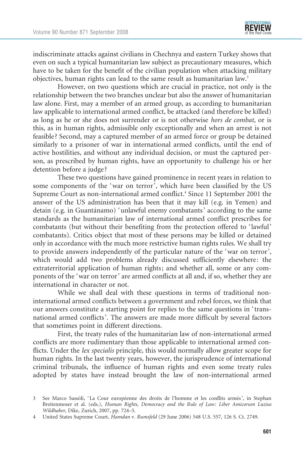indiscriminate attacks against civilians in Chechnya and eastern Turkey shows that even on such a typical humanitarian law subject as precautionary measures, which have to be taken for the benefit of the civilian population when attacking military objectives, human rights can lead to the same result as humanitarian law.<sup>3</sup>

However, on two questions which are crucial in practice, not only is the relationship between the two branches unclear but also the answer of humanitarian law alone. First, may a member of an armed group, as according to humanitarian law applicable to international armed conflict, be attacked (and therefore be killed) as long as he or she does not surrender or is not otherwise hors de combat, or is this, as in human rights, admissible only exceptionally and when an arrest is not feasible? Second, may a captured member of an armed force or group be detained similarly to a prisoner of war in international armed conflicts, until the end of active hostilities, and without any individual decision, or must the captured person, as prescribed by human rights, have an opportunity to challenge his or her detention before a judge?

These two questions have gained prominence in recent years in relation to some components of the 'war on terror<sup>3</sup>, which have been classified by the US Supreme Court as non-international armed conflict.<sup>4</sup> Since 11 September 2001 the answer of the US administration has been that it may kill (e.g. in Yemen) and detain (e.g. in Guantánamo) 'unlawful enemy combatants' according to the same standards as the humanitarian law of international armed conflict prescribes for combatants (but without their benefiting from the protection offered to 'lawful' combatants). Critics object that most of these persons may be killed or detained only in accordance with the much more restrictive human rights rules. We shall try to provide answers independently of the particular nature of the 'war on terror', which would add two problems already discussed sufficiently elsewhere: the extraterritorial application of human rights; and whether all, some or any components of the 'war on terror' are armed conflicts at all and, if so, whether they are international in character or not.

While we shall deal with these questions in terms of traditional noninternational armed conflicts between a government and rebel forces, we think that our answers constitute a starting point for replies to the same questions in 'transnational armed conflicts'. The answers are made more difficult by several factors that sometimes point in different directions.

First, the treaty rules of the humanitarian law of non-international armed conflicts are more rudimentary than those applicable to international armed conflicts. Under the lex specialis principle, this would normally allow greater scope for human rights. In the last twenty years, however, the jurisprudence of international criminal tribunals, the influence of human rights and even some treaty rules adopted by states have instead brought the law of non-international armed

<sup>3</sup> See Marco Sassòli, 'La Cour européenne des droits de l'homme et les conflits armés', in Stephan Breitenmoser et al. (eds.), Human Rights, Democracy and the Rule of Law: Liber Amicorum Luzius Wildhaber, Dike, Zurich, 2007, pp. 724–5.

<sup>4</sup> United States Supreme Court, Hamdan v. Rumsfeld (29 June 2006) 548 U.S. 557, 126 S. Ct. 2749.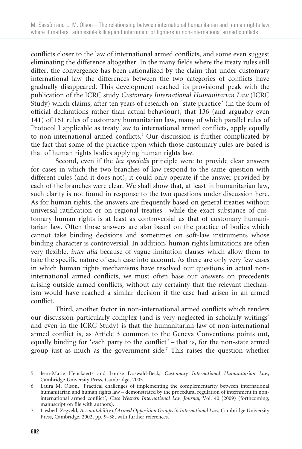conflicts closer to the law of international armed conflicts, and some even suggest eliminating the difference altogether. In the many fields where the treaty rules still differ, the convergence has been rationalized by the claim that under customary international law the differences between the two categories of conflicts have gradually disappeared. This development reached its provisional peak with the publication of the ICRC study Customary International Humanitarian Law (ICRC Study) which claims, after ten years of research on 'state practice' (in the form of official declarations rather than actual behaviour), that 136 (and arguably even 141) of 161 rules of customary humanitarian law, many of which parallel rules of Protocol I applicable as treaty law to international armed conflicts, apply equally to non-international armed conflicts.<sup>5</sup> Our discussion is further complicated by the fact that some of the practice upon which those customary rules are based is that of human rights bodies applying human rights law.

Second, even if the lex specialis principle were to provide clear answers for cases in which the two branches of law respond to the same question with different rules (and it does not), it could only operate if the answer provided by each of the branches were clear. We shall show that, at least in humanitarian law, such clarity is not found in response to the two questions under discussion here. As for human rights, the answers are frequently based on general treaties without universal ratification or on regional treaties – while the exact substance of customary human rights is at least as controversial as that of customary humanitarian law. Often those answers are also based on the practice of bodies which cannot take binding decisions and sometimes on soft-law instruments whose binding character is controversial. In addition, human rights limitations are often very flexible, inter alia because of vague limitation clauses which allow them to take the specific nature of each case into account. As there are only very few cases in which human rights mechanisms have resolved our questions in actual noninternational armed conflicts, we must often base our answers on precedents arising outside armed conflicts, without any certainty that the relevant mechanism would have reached a similar decision if the case had arisen in an armed conflict.

Third, another factor in non-international armed conflicts which renders our discussion particularly complex (and is very neglected in scholarly writings<sup>6</sup> and even in the ICRC Study) is that the humanitarian law of non-international armed conflict is, as Article 3 common to the Geneva Conventions points out, equally binding for 'each party to the conflict' – that is, for the non-state armed group just as much as the government side.7 This raises the question whether

<sup>5</sup> Jean-Marie Henckaerts and Louise Doswald-Beck, Customary International Humanitarian Law, Cambridge University Press, Cambridge, 2005.

<sup>6</sup> Laura M. Olson, ' Practical challenges of implementing the complementarity between international humanitarian and human rights law – demonstrated by the procedural regulation of internment in noninternational armed conflict ', Case Western International Law Journal, Vol. 40 (2009) (forthcoming, manuscript on file with authors).

<sup>7</sup> Liesbeth Zegveld, Accountability of Armed Opposition Groups in International Law, Cambridge University Press, Cambridge, 2002, pp. 9–38, with further references.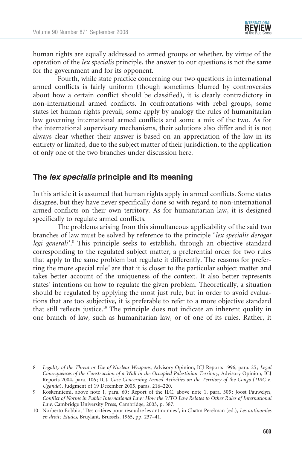

human rights are equally addressed to armed groups or whether, by virtue of the operation of the lex specialis principle, the answer to our questions is not the same for the government and for its opponent.

Fourth, while state practice concerning our two questions in international armed conflicts is fairly uniform (though sometimes blurred by controversies about how a certain conflict should be classified), it is clearly contradictory in non-international armed conflicts. In confrontations with rebel groups, some states let human rights prevail, some apply by analogy the rules of humanitarian law governing international armed conflicts and some a mix of the two. As for the international supervisory mechanisms, their solutions also differ and it is not always clear whether their answer is based on an appreciation of the law in its entirety or limited, due to the subject matter of their jurisdiction, to the application of only one of the two branches under discussion here.

#### The *lex specialis* principle and its meaning

In this article it is assumed that human rights apply in armed conflicts. Some states disagree, but they have never specifically done so with regard to non-international armed conflicts on their own territory. As for humanitarian law, it is designed specifically to regulate armed conflicts.

The problems arising from this simultaneous applicability of the said two branches of law must be solved by reference to the principle 'lex specialis derogat legi generali<sup>'.8</sup> This principle seeks to establish, through an objective standard corresponding to the regulated subject matter, a preferential order for two rules that apply to the same problem but regulate it differently. The reasons for preferring the more special rule<sup>9</sup> are that it is closer to the particular subject matter and takes better account of the uniqueness of the context. It also better represents states' intentions on how to regulate the given problem. Theoretically, a situation should be regulated by applying the most just rule, but in order to avoid evaluations that are too subjective, it is preferable to refer to a more objective standard that still reflects justice.10 The principle does not indicate an inherent quality in one branch of law, such as humanitarian law, or of one of its rules. Rather, it

<sup>8</sup> Legality of the Threat or Use of Nuclear Weapons, Advisory Opinion, ICJ Reports 1996, para. 25; Legal Consequences of the Construction of a Wall in the Occupied Palestinian Territory, Advisory Opinion, ICJ Reports 2004, para. 106 ; ICJ, Case Concerning Armed Activities on the Territory of the Congo (DRC v. Uganda), Judgment of 19 December 2005, paras. 216–220.

<sup>9</sup> Koskenniemi, above note 1, para. 60 ; Report of the ILC, above note 1, para. 305 ; Joost Pauwelyn, Conflict of Norms in Public International Law : How the WTO Law Relates to Other Rules of International Law, Cambridge University Press, Cambridge, 2003, p. 387.

<sup>10</sup> Norberto Bobbio, 'Des critères pour résoudre les antinomies', in Chaïm Perelman (ed.), Les antinomies en droit: Etudes, Bruylant, Brussels, 1965, pp. 237-41.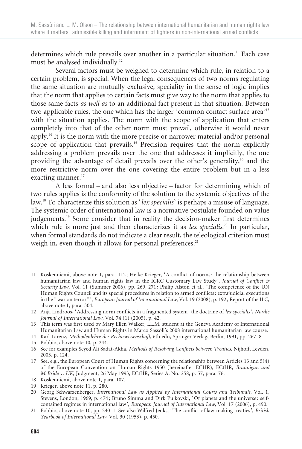determines which rule prevails over another in a particular situation.<sup>11</sup> Each case must be analysed individually.<sup>12</sup>

Several factors must be weighed to determine which rule, in relation to a certain problem, is special. When the legal consequences of two norms regulating the same situation are mutually exclusive, speciality in the sense of logic implies that the norm that applies to certain facts must give way to the norm that applies to those same facts as well as to an additional fact present in that situation. Between two applicable rules, the one which has the larger 'common contact surface area'13 with the situation applies. The norm with the scope of application that enters completely into that of the other norm must prevail, otherwise it would never apply.14 It is the norm with the more precise or narrower material and/or personal scope of application that prevails.<sup>15</sup> Precision requires that the norm explicitly addressing a problem prevails over the one that addresses it implicitly, the one providing the advantage of detail prevails over the other's generality,<sup>16</sup> and the more restrictive norm over the one covering the entire problem but in a less exacting manner.<sup>17</sup>

A less formal – and also less objective – factor for determining which of two rules applies is the conformity of the solution to the systemic objectives of the law.<sup>18</sup> To characterize this solution as 'lex specialis' is perhaps a misuse of language. The systemic order of international law is a normative postulate founded on value judgements.<sup>19</sup> Some consider that in reality the decision-maker first determines which rule is more just and then characterizes it as lex specialis.<sup>20</sup> In particular, when formal standards do not indicate a clear result, the teleological criterion must weigh in, even though it allows for personal preferences.<sup>21</sup>

- 11 Koskenniemi, above note 1, para. 112 ; Heike Krieger, ' A conflict of norms : the relationship between humanitarian law and human rights law in the ICRC Customary Law Study', Journal of Conflict & Security Law, Vol. 11 (Summer 2006), pp. 269, 271; Philip Alston et al., 'The competence of the UN Human Rights Council and its special procedures in relation to armed conflicts : extrajudicial executions in the "war on terror"', European Journal of International Law, Vol. 19 (2008), p. 192; Report of the ILC, above note 1, para. 304.
- 12 Anja Lindroos, ' Addressing norm conflicts in a fragmented system : the doctrine of lex specialis', Nordic Journal of International Law, Vol. 74 (1) (2005), p. 42.
- 13 This term was first used by Mary Ellen Walker, LL.M. student at the Geneva Academy of International Humanitarian Law and Human Rights in Marco Sassòli's 2008 international humanitarian law course.
- 14 Karl Larenz, Methodenlehre der Rechtswissenschaft, 6th edn, Springer Verlag, Berlin, 1991, pp. 267–8.
- 15 Bobbio, above note 10, p. 244.
- 16 See for examples Seyed Ali Sadat-Akha, Methods of Resolving Conflicts between Treaties, Nijhoff, Leyden, 2003, p. 124.
- 17 See, e.g., the European Court of Human Rights concerning the relationship between Articles 13 and 5(4) of the European Convention on Human Rights 1950 (hereinafter ECHR), ECtHR, Brannigan and McBride v. UK, Judgment, 26 May 1993, ECtHR, Series A, No. 258, p. 57, para. 76.
- 18 Koskenniemi, above note 1, para. 107.
- 19 Krieger, above note 11, p. 280.
- 20 Georg Schwarzenberger, International Law as Applied by International Courts and Tribunals, Vol. 1, Stevens, London, 1969, p. 474 ; Bruno Simma and Dirk Pulkovski, ' Of planets and the universe : selfcontained regimes in international law ', European Journal of International Law, Vol. 17 (2006), p. 490.
- 21 Bobbio, above note 10, pp. 240–1. See also Wilfred Jenks, ' The conflict of law-making treaties ', British Yearbook of International Law, Vol. 30 (1953), p. 450.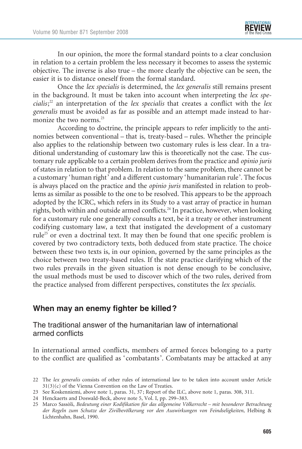In our opinion, the more the formal standard points to a clear conclusion in relation to a certain problem the less necessary it becomes to assess the systemic objective. The inverse is also true – the more clearly the objective can be seen, the easier it is to distance oneself from the formal standard.

Once the lex specialis is determined, the lex generalis still remains present in the background. It must be taken into account when interpreting the lex specialis;<sup>22</sup> an interpretation of the lex specialis that creates a conflict with the lex generalis must be avoided as far as possible and an attempt made instead to harmonize the two norms.<sup>23</sup>

According to doctrine, the principle appears to refer implicitly to the antinomies between conventional – that is, treaty-based – rules. Whether the principle also applies to the relationship between two customary rules is less clear. In a traditional understanding of customary law this is theoretically not the case. The customary rule applicable to a certain problem derives from the practice and opinio juris of states in relation to that problem. In relation to the same problem, there cannot be a customary 'human right' and a different customary 'humanitarian rule'. The focus is always placed on the practice and the opinio juris manifested in relation to problems as similar as possible to the one to be resolved. This appears to be the approach adopted by the ICRC, which refers in its Study to a vast array of practice in human rights, both within and outside armed conflicts.<sup>24</sup> In practice, however, when looking for a customary rule one generally consults a text, be it a treaty or other instrument codifying customary law, a text that instigated the development of a customary rule<sup>25</sup> or even a doctrinal text. It may then be found that one specific problem is covered by two contradictory texts, both deduced from state practice. The choice between these two texts is, in our opinion, governed by the same principles as the choice between two treaty-based rules. If the state practice clarifying which of the two rules prevails in the given situation is not dense enough to be conclusive, the usual methods must be used to discover which of the two rules, derived from the practice analysed from different perspectives, constitutes the lex specialis.

## When may an enemy fighter be killed?

The traditional answer of the humanitarian law of international armed conflicts

In international armed conflicts, members of armed forces belonging to a party to the conflict are qualified as 'combatants'. Combatants may be attacked at any

<sup>22</sup> The lex generalis consists of other rules of international law to be taken into account under Article 31(3)(c) of the Vienna Convention on the Law of Treaties.

<sup>23</sup> See Koskenniemi, above note 1, paras. 31, 37 ; Report of the ILC, above note 1, paras. 308, 311.

<sup>24</sup> Henckaerts and Doswald-Beck, above note 5, Vol. I, pp. 299–383.

<sup>25</sup> Marco Sassòli, Bedeutung einer Kodifikation für das allgemeine Völkerrecht – mit besonderer Betrachtung der Regeln zum Schutze der Zivilbevölkerung vor den Auswirkungen von Feindseligkeiten, Helbing & Lichtenhahn, Basel, 1990.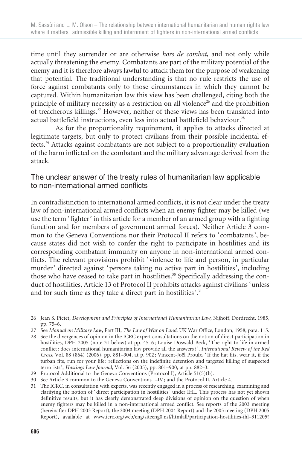time until they surrender or are otherwise *hors de combat*, and not only while actually threatening the enemy. Combatants are part of the military potential of the enemy and it is therefore always lawful to attack them for the purpose of weakening that potential. The traditional understanding is that no rule restricts the use of force against combatants only to those circumstances in which they cannot be captured. Within humanitarian law this view has been challenged, citing both the principle of military necessity as a restriction on all violence<sup>26</sup> and the prohibition of treacherous killings.27 However, neither of these views has been translated into actual battlefield instructions, even less into actual battlefield behaviour.<sup>28</sup>

As for the proportionality requirement, it applies to attacks directed at legitimate targets, but only to protect civilians from their possible incidental effects.29 Attacks against combatants are not subject to a proportionality evaluation of the harm inflicted on the combatant and the military advantage derived from the attack.

#### The unclear answer of the treaty rules of humanitarian law applicable to non-international armed conflicts

In contradistinction to international armed conflicts, it is not clear under the treaty law of non-international armed conflicts when an enemy fighter may be killed (we use the term 'fighter' in this article for a member of an armed group with a fighting function and for members of government armed forces). Neither Article 3 common to the Geneva Conventions nor their Protocol II refers to 'combatants', because states did not wish to confer the right to participate in hostilities and its corresponding combatant immunity on anyone in non-international armed conflicts. The relevant provisions prohibit 'violence to life and person, in particular murder' directed against 'persons taking no active part in hostilities', including those who have ceased to take part in hostilities.<sup>30</sup> Specifically addressing the conduct of hostilities, Article 13 of Protocol II prohibits attacks against civilians 'unless and for such time as they take a direct part in hostilities'.<sup>31</sup>

<sup>26</sup> Jean S. Pictet, Development and Principles of International Humanitarian Law, Nijhoff, Dordrecht, 1985, pp. 75–6.

<sup>27</sup> See Manual on Military Law, Part III, The Law of War on Land, UK War Office, London, 1958, para. 115.

<sup>28</sup> See the divergences of opinion in the ICRC expert consultations on the notion of direct participation in hostilities, DPH 2005 (note 31 below) at pp. 45–6 ; Louise Doswald-Beck, ' The right to life in armed conflict : does international humanitarian law provide all the answers ? ', International Review of the Red Cross, Vol. 88 (864) (2006), pp. 881–904, at p. 902; Vincent-Joël Proulx, 'If the hat fits, wear it, if the turban fits, run for your life : reflections on the indefinite detention and targeted killing of suspected terrorists ', Hastings Law Journal, Vol. 56 (2005), pp. 801–900, at pp. 882–3.

<sup>29</sup> Protocol Additional to the Geneva Conventions (Protocol I), Article 51(5)(b).

<sup>30</sup> See Article 3 common to the Geneva Conventions I–IV ; and the Protocol II, Article 4.

<sup>31</sup> The ICRC, in consultation with experts, was recently engaged in a process of researching, examining and clarifying the notion of 'direct participation in hostilities' under IHL. This process has not yet shown definitive results, but it has clearly demonstrated deep divisions of opinion on the question of when enemy fighters may be killed in a non-international armed conflict. See reports of the 2003 meeting (hereinafter DPH 2003 Report), the 2004 meeting (DPH 2004 Report) and the 2005 meeting (DPH 2005 Report), available at www.icrc.org/web/eng/siteeng0.nsf/htmlall/participation-hostilities-ihl–311205?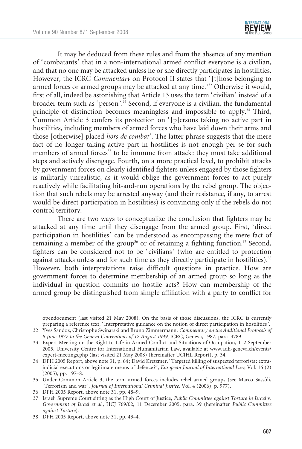

It may be deduced from these rules and from the absence of any mention of 'combatants' that in a non-international armed conflict everyone is a civilian, and that no one may be attacked unless he or she directly participates in hostilities. However, the ICRC *Commentary* on Protocol II states that '[t]hose belonging to armed forces or armed groups may be attacked at any time.'32 Otherwise it would, first of all, indeed be astonishing that Article 13 uses the term 'civilian' instead of a broader term such as 'person'.<sup>33</sup> Second, if everyone is a civilian, the fundamental principle of distinction becomes meaningless and impossible to apply.34 Third, Common Article 3 confers its protection on '[p]ersons taking no active part in hostilities, including members of armed forces who have laid down their arms and those [otherwise] placed hors de combat'. The latter phrase suggests that the mere fact of no longer taking active part in hostilities is not enough per se for such members of armed forces<sup>35</sup> to be immune from attack: they must take additional steps and actively disengage. Fourth, on a more practical level, to prohibit attacks by government forces on clearly identified fighters unless engaged by those fighters is militarily unrealistic, as it would oblige the government forces to act purely reactively while facilitating hit-and-run operations by the rebel group. The objection that such rebels may be arrested anyway (and their resistance, if any, to arrest would be direct participation in hostilities) is convincing only if the rebels do not control territory.

There are two ways to conceptualize the conclusion that fighters may be attacked at any time until they disengage from the armed group. First, 'direct participation in hostilities' can be understood as encompassing the mere fact of remaining a member of the group<sup>36</sup> or of retaining a fighting function.<sup>37</sup> Second, fighters can be considered not to be 'civilians' (who are entitled to protection against attacks unless and for such time as they directly participate in hostilities).<sup>38</sup> However, both interpretations raise difficult questions in practice. How are government forces to determine membership of an armed group so long as the individual in question commits no hostile acts? How can membership of the armed group be distinguished from simple affiliation with a party to conflict for

opendocument (last visited 21 May 2008). On the basis of those discussions, the ICRC is currently preparing a reference text, ' Interpretative guidance on the notion of direct participation in hostilities '.

- 32 Yves Sandoz, Christophe Swinarski and Bruno Zimmermann, Commentary on the Additional Protocols of 8 June 1977 to the Geneva Conventions of 12 August 1949, ICRC, Geneva, 1987, para. 4789.
- 33 Expert Meeting on the Right to Life in Armed Conflict and Situations of Occupation, 1–2 September 2005, University Centre for International Humanitarian Law, available at www.adh-geneva.ch/events/ expert-meetings.php (last visited 21 May 2008) (hereinafter UCIHL Report), p. 34.
- 34 DPH 2005 Report, above note 31, p. 64 ; David Kretzmer, ' Targeted killing of suspected terrorists : extrajudicial executions or legitimate means of defence?', European Journal of International Law, Vol. 16 (2) (2005), pp. 197–8.
- 35 Under Common Article 3, the term armed forces includes rebel armed groups (see Marco Sassòli, ' Terrorism and war ', Journal of International Criminal Justice, Vol. 4 (2006), p. 977).
- 36 DPH 2005 Report, above note 31, pp. 48–9.
- 37 Israeli Supreme Court sitting as the High Court of Justice, Public Committee against Torture in Israel v. Government of Israel et al., HCJ 769/02, 11 December 2005, para. 39 (hereinafter Public Committee against Torture).
- 38 DPH 2005 Report, above note 31, pp. 43–4.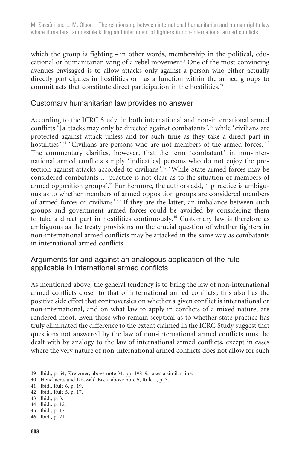which the group is fighting – in other words, membership in the political, educational or humanitarian wing of a rebel movement? One of the most convincing avenues envisaged is to allow attacks only against a person who either actually directly participates in hostilities or has a function within the armed groups to commit acts that constitute direct participation in the hostilities.<sup>39</sup>

#### Customary humanitarian law provides no answer

According to the ICRC Study, in both international and non-international armed conflicts '[a]ttacks may only be directed against combatants',<sup>40</sup> while 'civilians are protected against attack unless and for such time as they take a direct part in hostilities'.<sup>41</sup> 'Civilians are persons who are not members of the armed forces.<sup>'42</sup> The commentary clarifies, however, that the term 'combatant' in non-international armed conflicts simply 'indicat[es] persons who do not enjoy the protection against attacks accorded to civilians'.43 'While State armed forces may be considered combatants … practice is not clear as to the situation of members of armed opposition groups'.<sup>44</sup> Furthermore, the authors add, '[p] ractice is ambiguous as to whether members of armed opposition groups are considered members of armed forces or civilians'.<sup>45</sup> If they are the latter, an imbalance between such groups and government armed forces could be avoided by considering them to take a direct part in hostilities continuously.<sup>46</sup> Customary law is therefore as ambiguous as the treaty provisions on the crucial question of whether fighters in non-international armed conflicts may be attacked in the same way as combatants in international armed conflicts.

#### Arguments for and against an analogous application of the rule applicable in international armed conflicts

As mentioned above, the general tendency is to bring the law of non-international armed conflicts closer to that of international armed conflicts; this also has the positive side effect that controversies on whether a given conflict is international or non-international, and on what law to apply in conflicts of a mixed nature, are rendered moot. Even those who remain sceptical as to whether state practice has truly eliminated the difference to the extent claimed in the ICRC Study suggest that questions not answered by the law of non-international armed conflicts must be dealt with by analogy to the law of international armed conflicts, except in cases where the very nature of non-international armed conflicts does not allow for such

43 Ibid., p. 3.

- 45 Ibid., p. 17.
- 46 Ibid., p. 21.

<sup>39</sup> Ibid., p. 64 ; Kretzmer, above note 34, pp. 198–9, takes a similar line.

<sup>40</sup> Henckaerts and Doswald-Beck, above note 5, Rule 1, p. 3.

<sup>41</sup> Ibid., Rule 6, p. 19.

<sup>42</sup> Ibid., Rule 5, p. 17.

<sup>44</sup> Ibid., p. 12.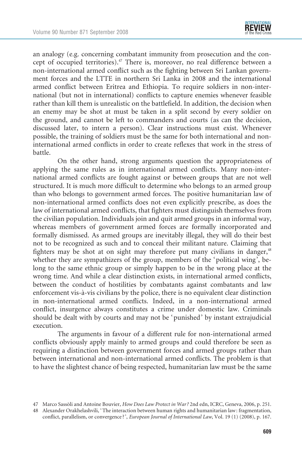an analogy (e.g. concerning combatant immunity from prosecution and the concept of occupied territories).<sup>47</sup> There is, moreover, no real difference between a non-international armed conflict such as the fighting between Sri Lankan government forces and the LTTE in northern Sri Lanka in 2008 and the international armed conflict between Eritrea and Ethiopia. To require soldiers in non-international (but not in international) conflicts to capture enemies whenever feasible rather than kill them is unrealistic on the battlefield. In addition, the decision when an enemy may be shot at must be taken in a split second by every soldier on the ground, and cannot be left to commanders and courts (as can the decision, discussed later, to intern a person). Clear instructions must exist. Whenever possible, the training of soldiers must be the same for both international and noninternational armed conflicts in order to create reflexes that work in the stress of battle.

On the other hand, strong arguments question the appropriateness of applying the same rules as in international armed conflicts. Many non-international armed conflicts are fought against or between groups that are not well structured. It is much more difficult to determine who belongs to an armed group than who belongs to government armed forces. The positive humanitarian law of non-international armed conflicts does not even explicitly prescribe, as does the law of international armed conflicts, that fighters must distinguish themselves from the civilian population. Individuals join and quit armed groups in an informal way, whereas members of government armed forces are formally incorporated and formally dismissed. As armed groups are inevitably illegal, they will do their best not to be recognized as such and to conceal their militant nature. Claiming that fighters may be shot at on sight may therefore put many civilians in danger,<sup>48</sup> whether they are sympathizers of the group, members of the 'political wing', belong to the same ethnic group or simply happen to be in the wrong place at the wrong time. And while a clear distinction exists, in international armed conflicts, between the conduct of hostilities by combatants against combatants and law enforcement vis-a`-vis civilians by the police, there is no equivalent clear distinction in non-international armed conflicts. Indeed, in a non-international armed conflict, insurgence always constitutes a crime under domestic law. Criminals should be dealt with by courts and may not be 'punished' by instant extrajudicial execution.

The arguments in favour of a different rule for non-international armed conflicts obviously apply mainly to armed groups and could therefore be seen as requiring a distinction between government forces and armed groups rather than between international and non-international armed conflicts. The problem is that to have the slightest chance of being respected, humanitarian law must be the same

<sup>47</sup> Marco Sassòli and Antoine Bouvier, How Does Law Protect in War? 2nd edn, ICRC, Geneva, 2006, p. 251.

<sup>48</sup> Alexander Orakhelashvili, 'The interaction between human rights and humanitarian law: fragmentation, conflict, parallelism, or convergence?', European Journal of International Law, Vol. 19 (1) (2008), p. 167.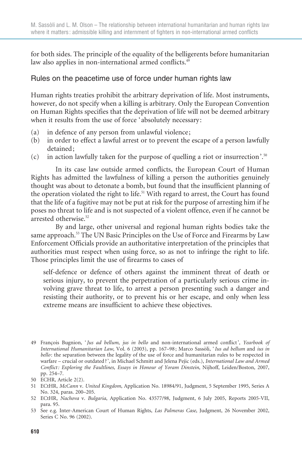for both sides. The principle of the equality of the belligerents before humanitarian law also applies in non-international armed conflicts.<sup>49</sup>

### Rules on the peacetime use of force under human rights law

Human rights treaties prohibit the arbitrary deprivation of life. Most instruments, however, do not specify when a killing is arbitrary. Only the European Convention on Human Rights specifies that the deprivation of life will not be deemed arbitrary when it results from the use of force 'absolutely necessary:

- (a) in defence of any person from unlawful violence;
- (b) in order to effect a lawful arrest or to prevent the escape of a person lawfully detained;
- (c) in action lawfully taken for the purpose of quelling a riot or insurrection'.<sup>50</sup>

In its case law outside armed conflicts, the European Court of Human Rights has admitted the lawfulness of killing a person the authorities genuinely thought was about to detonate a bomb, but found that the insufficient planning of the operation violated the right to life.<sup>51</sup> With regard to arrest, the Court has found that the life of a fugitive may not be put at risk for the purpose of arresting him if he poses no threat to life and is not suspected of a violent offence, even if he cannot be arrested otherwise.<sup>52</sup>

By and large, other universal and regional human rights bodies take the same approach.<sup>53</sup> The UN Basic Principles on the Use of Force and Firearms by Law Enforcement Officials provide an authoritative interpretation of the principles that authorities must respect when using force, so as not to infringe the right to life. Those principles limit the use of firearms to cases of

self-defence or defence of others against the imminent threat of death or serious injury, to prevent the perpetration of a particularly serious crime involving grave threat to life, to arrest a person presenting such a danger and resisting their authority, or to prevent his or her escape, and only when less extreme means are insufficient to achieve these objectives.

<sup>49</sup> François Bugnion, 'Jus ad bellum, jus in bello and non-international armed conflict', Yearbook of International Humanitarian Law, Vol. 6 (2003), pp. 167-98; Marco Sassòli, 'Ius ad bellum and ius in bello: the separation between the legality of the use of force and humanitarian rules to be respected in warfare – crucial or outdated ? ', in Michael Schmitt and Jelena Pejic (eds.), International Law and Armed Conflict : Exploring the Faultlines, Essays in Honour of Yoram Dinstein, Nijhoff, Leiden/Boston, 2007, pp. 254–7.

<sup>50</sup> ECHR, Article 2(2).

<sup>51</sup> ECtHR, McCann v. United Kingdom, Application No. 18984/91, Judgment, 5 September 1995, Series A No. 324, paras. 200–205.

<sup>52</sup> ECtHR, Nachova v. Bulgaria, Application No. 43577/98, Judgment, 6 July 2005, Reports 2005-VII, para. 95.

<sup>53</sup> See e.g. Inter-American Court of Human Rights, Las Palmeras Case, Judgment, 26 November 2002, Series C No. 96 (2002).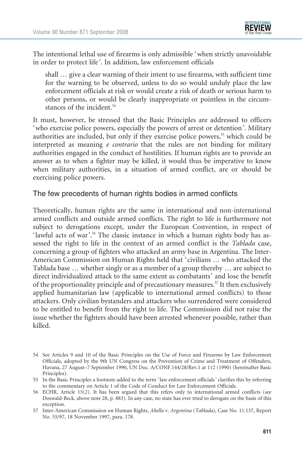The intentional lethal use of firearms is only admissible 'when strictly unavoidable in order to protect life'. In addition, law enforcement officials

shall … give a clear warning of their intent to use firearms, with sufficient time for the warning to be observed, unless to do so would unduly place the law enforcement officials at risk or would create a risk of death or serious harm to other persons, or would be clearly inappropriate or pointless in the circumstances of the incident.<sup>54</sup>

It must, however, be stressed that the Basic Principles are addressed to officers 'who exercise police powers, especially the powers of arrest or detention'. Military authorities are included, but only if they exercise police powers,<sup>55</sup> which could be interpreted as meaning e contrario that the rules are not binding for military authorities engaged in the conduct of hostilities. If human rights are to provide an answer as to when a fighter may be killed, it would thus be imperative to know when military authorities, in a situation of armed conflict, are or should be exercising police powers.

#### The few precedents of human rights bodies in armed conflicts

Theoretically, human rights are the same in international and non-international armed conflicts and outside armed conflicts. The right to life is furthermore not subject to derogations except, under the European Convention, in respect of 'lawful acts of war'.<sup>56</sup> The classic instance in which a human rights body has assessed the right to life in the context of an armed conflict is the Tablada case, concerning a group of fighters who attacked an army base in Argentina. The Inter-American Commission on Human Rights held that 'civilians … who attacked the Tablada base … whether singly or as a member of a group thereby … are subject to direct individualized attack to the same extent as combatants' and lose the benefit of the proportionality principle and of precautionary measures.<sup>57</sup> It then exclusively applied humanitarian law (applicable to international armed conflicts) to those attackers. Only civilian bystanders and attackers who surrendered were considered to be entitled to benefit from the right to life. The Commission did not raise the issue whether the fighters should have been arrested whenever possible, rather than killed.

<sup>54</sup> See Articles 9 and 10 of the Basic Principles on the Use of Force and Firearms by Law Enforcement Officials, adopted by the 9th UN Congress on the Prevention of Crime and Treatment of Offenders, Havana, 27 August–7 September 1990, UN Doc. A/CONF.144/28/Rev.1 at 112 (1990) (hereinafter Basic Principles).

<sup>55</sup> In the Basic Principles a footnote added to the term ' law enforcement officials ' clarifies this by referring to the commentary on Article 1 of the Code of Conduct for Law Enforcement Officials.

<sup>56</sup> ECHR, Article 15(2). It has been argued that this refers only to international armed conflicts (see Doswald-Beck, above note 28, p. 883). In any case, no state has ever tried to derogate on the basis of this exception.

<sup>57</sup> Inter-American Commission on Human Rights, Abella v. Argentina (Tablada), Case No. 11.137, Report No. 55/97, 18 November 1997, para. 178.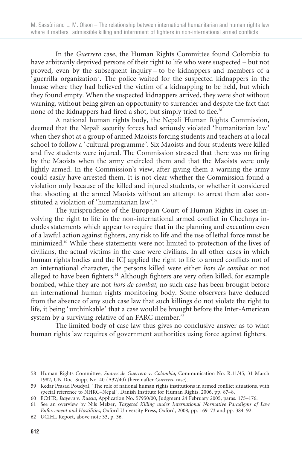In the Guerrero case, the Human Rights Committee found Colombia to have arbitrarily deprived persons of their right to life who were suspected – but not proved, even by the subsequent inquiry – to be kidnappers and members of a 'guerrilla organization'. The police waited for the suspected kidnappers in the house where they had believed the victim of a kidnapping to be held, but which they found empty. When the suspected kidnappers arrived, they were shot without warning, without being given an opportunity to surrender and despite the fact that none of the kidnappers had fired a shot, but simply tried to flee.<sup>58</sup>

A national human rights body, the Nepali Human Rights Commission, deemed that the Nepali security forces had seriously violated 'humanitarian law' when they shot at a group of armed Maoists forcing students and teachers at a local school to follow a 'cultural programme'. Six Maoists and four students were killed and five students were injured. The Commission stressed that there was no firing by the Maoists when the army encircled them and that the Maoists were only lightly armed. In the Commission's view, after giving them a warning the army could easily have arrested them. It is not clear whether the Commission found a violation only because of the killed and injured students, or whether it considered that shooting at the armed Maoists without an attempt to arrest them also constituted a violation of 'humanitarian law'.59

The jurisprudence of the European Court of Human Rights in cases involving the right to life in the non-international armed conflict in Chechnya includes statements which appear to require that in the planning and execution even of a lawful action against fighters, any risk to life and the use of lethal force must be minimized.60 While these statements were not limited to protection of the lives of civilians, the actual victims in the case were civilians. In all other cases in which human rights bodies and the ICJ applied the right to life to armed conflicts not of an international character, the persons killed were either hors de combat or not alleged to have been fighters.<sup>61</sup> Although fighters are very often killed, for example bombed, while they are not hors de combat, no such case has been brought before an international human rights monitoring body. Some observers have deduced from the absence of any such case law that such killings do not violate the right to life, it being 'unthinkable' that a case would be brought before the Inter-American system by a surviving relative of an FARC member.<sup>62</sup>

The limited body of case law thus gives no conclusive answer as to what human rights law requires of government authorities using force against fighters.

<sup>58</sup> Human Rights Committee, Suarez de Guerrero v. Colombia, Communication No. R.11/45, 31 March 1982, UN Doc. Supp. No. 40 (A37/40) (hereinafter Guerrero case).

<sup>59</sup> Kedar Prasad Poudyal, ' The role of national human rights institutions in armed conflict situations, with special reference to NHRC–Nepal', Danish Institute for Human Rights, 2006, pp. 87-8.

<sup>60</sup> ECtHR, Isayeva v. Russia, Application No. 57950/00, Judgment 24 February 2005, paras. 175–176.

<sup>61</sup> See an overview by Nils Melzer, Targeted Killing under International Normative Paradigms of Law Enforcement and Hostilities, Oxford University Press, Oxford, 2008, pp. 169–73 and pp. 384–92.

<sup>62</sup> UCIHL Report, above note 33, p. 36.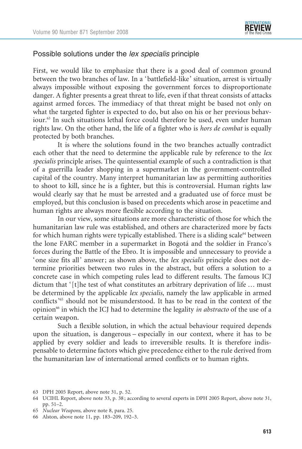

#### Possible solutions under the *lex specialis* principle

First, we would like to emphasize that there is a good deal of common ground between the two branches of law. In a 'battlefield-like' situation, arrest is virtually always impossible without exposing the government forces to disproportionate danger. A fighter presents a great threat to life, even if that threat consists of attacks against armed forces. The immediacy of that threat might be based not only on what the targeted fighter is expected to do, but also on his or her previous behaviour.<sup>63</sup> In such situations lethal force could therefore be used, even under human rights law. On the other hand, the life of a fighter who is hors de combat is equally protected by both branches.

It is where the solutions found in the two branches actually contradict each other that the need to determine the applicable rule by reference to the lex specialis principle arises. The quintessential example of such a contradiction is that of a guerrilla leader shopping in a supermarket in the government-controlled capital of the country. Many interpret humanitarian law as permitting authorities to shoot to kill, since he is a fighter, but this is controversial. Human rights law would clearly say that he must be arrested and a graduated use of force must be employed, but this conclusion is based on precedents which arose in peacetime and human rights are always more flexible according to the situation.

In our view, some situations are more characteristic of those for which the humanitarian law rule was established, and others are characterized more by facts for which human rights were typically established. There is a sliding scale $64$  between the lone FARC member in a supermarket in Bogotá and the soldier in Franco's forces during the Battle of the Ebro. It is impossible and unnecessary to provide a 'one size fits all' answer; as shown above, the lex specialis principle does not determine priorities between two rules in the abstract, but offers a solution to a concrete case in which competing rules lead to different results. The famous ICJ dictum that '[t]he test of what constitutes an arbitrary deprivation of life ... must be determined by the applicable lex specialis, namely the law applicable in armed conflicts'65 should not be misunderstood. It has to be read in the context of the opinion<sup>66</sup> in which the ICJ had to determine the legality in abstracto of the use of a certain weapon.

Such a flexible solution, in which the actual behaviour required depends upon the situation, is dangerous – especially in our context, where it has to be applied by every soldier and leads to irreversible results. It is therefore indispensable to determine factors which give precedence either to the rule derived from the humanitarian law of international armed conflicts or to human rights.

63 DPH 2005 Report, above note 31, p. 52.

- 65 Nuclear Weapons, above note 8, para. 25.
- 66 Alston, above note 11, pp. 183–209, 192–3.

<sup>64</sup> UCIHL Report, above note 33, p. 38 ; according to several experts in DPH 2005 Report, above note 31, pp. 51–2.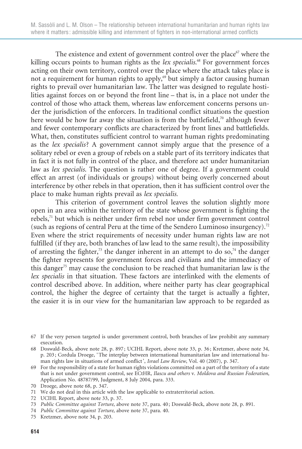The existence and extent of government control over the place<sup>67</sup> where the killing occurs points to human rights as the lex specialis.<sup>68</sup> For government forces acting on their own territory, control over the place where the attack takes place is not a requirement for human rights to apply, $69$  but simply a factor causing human rights to prevail over humanitarian law. The latter was designed to regulate hostilities against forces on or beyond the front line – that is, in a place not under the control of those who attack them, whereas law enforcement concerns persons under the jurisdiction of the enforcers. In traditional conflict situations the question here would be how far away the situation is from the battlefield,<sup>70</sup> although fewer and fewer contemporary conflicts are characterized by front lines and battlefields. What, then, constitutes sufficient control to warrant human rights predominating as the lex specialis? A government cannot simply argue that the presence of a solitary rebel or even a group of rebels on a stable part of its territory indicates that in fact it is not fully in control of the place, and therefore act under humanitarian law as lex specialis. The question is rather one of degree. If a government could effect an arrest (of individuals or groups) without being overly concerned about interference by other rebels in that operation, then it has sufficient control over the place to make human rights prevail as lex specialis.

This criterion of government control leaves the solution slightly more open in an area within the territory of the state whose government is fighting the rebels,71 but which is neither under firm rebel nor under firm government control (such as regions of central Peru at the time of the Sendero Luminoso insurgency).<sup>72</sup> Even where the strict requirements of necessity under human rights law are not fulfilled (if they are, both branches of law lead to the same result), the impossibility of arresting the fighter,<sup>73</sup> the danger inherent in an attempt to do so,<sup>74</sup> the danger the fighter represents for government forces and civilians and the immediacy of this danger<sup>75</sup> may cause the conclusion to be reached that humanitarian law is the lex specialis in that situation. These factors are interlinked with the elements of control described above. In addition, where neither party has clear geographical control, the higher the degree of certainty that the target is actually a fighter, the easier it is in our view for the humanitarian law approach to be regarded as

<sup>67</sup> If the very person targeted is under government control, both branches of law prohibit any summary execution.

<sup>68</sup> Doswald-Beck, above note 28, p. 897 ; UCIHL Report, above note 33, p. 36 ; Kretzmer, above note 34, p. 203 ; Cordula Droege, ' The interplay between international humanitarian law and international human rights law in situations of armed conflict ', Israel Law Review, Vol. 40 (2007), p. 347.

<sup>69</sup> For the responsibility of a state for human rights violations committed on a part of the territory of a state that is not under government control, see ECtHR, Ilascu and others v. Moldova and Russian Federation, Application No. 48787/99, Judgment, 8 July 2004, para. 333.

<sup>70</sup> Droege, above note 68, p. 347.

<sup>71</sup> We do not deal in this article with the law applicable to extraterritorial action.

<sup>72</sup> UCIHL Report, above note 33, p. 37.

<sup>73</sup> Public Committee against Torture, above note 37, para. 40 ; Doswald-Beck, above note 28, p. 891.

<sup>74</sup> Public Committee against Torture, above note 37, para. 40.

<sup>75</sup> Kretzmer, above note 34, p. 203.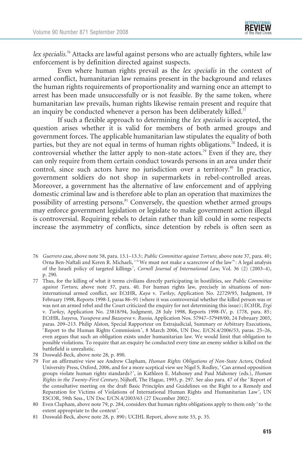lex specialis.<sup>76</sup> Attacks are lawful against persons who are actually fighters, while law enforcement is by definition directed against suspects.

Even where human rights prevail as the lex specialis in the context of armed conflict, humanitarian law remains present in the background and relaxes the human rights requirements of proportionality and warning once an attempt to arrest has been made unsuccessfully or is not feasible. By the same token, where humanitarian law prevails, human rights likewise remain present and require that an inquiry be conducted whenever a person has been deliberately killed.<sup>77</sup>

If such a flexible approach to determining the lex specialis is accepted, the question arises whether it is valid for members of both armed groups and government forces. The applicable humanitarian law stipulates the equality of both parties, but they are not equal in terms of human rights obligations.78 Indeed, it is controversial whether the latter apply to non-state actors.<sup>79</sup> Even if they are, they can only require from them certain conduct towards persons in an area under their control, since such actors have no jurisdiction over a territory.<sup>80</sup> In practice, government soldiers do not shop in supermarkets in rebel-controlled areas. Moreover, a government has the alternative of law enforcement and of applying domestic criminal law and is therefore able to plan an operation that maximizes the possibility of arresting persons.<sup>81</sup> Conversely, the question whether armed groups may enforce government legislation or legislate to make government action illegal is controversial. Requiring rebels to detain rather than kill could in some respects increase the asymmetry of conflicts, since detention by rebels is often seen as

- 76 Guerrero case, above note 58, para. 13.1–13.3 ; Public Committee against Torture, above note 37, para. 40 ; Orna Ben-Naftali and Keren R. Michaeli, "We must not make a scarecrow of the law": A legal analysis of the Israeli policy of targeted killings', Cornell Journal of International Law, Vol. 36 (2) (2003-4), p. 290.
- 77 Thus, for the killing of what it terms civilians directly participating in hostilities, see Public Committee against Torture, above note 37, para. 40. For human rights law, precisely in situations of noninternational armed conflict, see ECtHR, Kaya v. Turkey, Application No. 22729/93, Judgment, 19 February 1998, Reports 1998-I, paras 86–91 (where it was controversial whether the killed person was or was not an armed rebel and the Court criticized the enquiry for not determining this issue) ; ECtHR, Ergi v. Turkey, Application No. 23818/94, Judgment, 28 July 1998, Reports 1998-IV, p. 1778, para. 85; ECtHR, Isayeva, Yusupova and Bazayeva v. Russia, Application Nos. 57947–57949/00, 24 February 2005, paras. 209–213. Philip Alston, Special Rapporteur on Extrajudicial, Summary or Arbitrary Executions, ' Report to the Human Rights Commission ', 8 March 2006, UN Doc. E/CN.4/2006/53, paras. 25–26, even argues that such an obligation exists under humanitarian law. We would limit that obligation to possible violations. To require that an enquiry be conducted every time an enemy soldier is killed on the battlefield is unrealistic.
- 78 Doswald-Beck, above note 28, p. 890.
- 79 For an affirmative view see Andrew Clapham, Human Rights Obligations of Non-State Actors, Oxford University Press, Oxford, 2006, and for a more sceptical view see Nigel S. Rodley, ' Can armed opposition groups violate human rights standards?', in Kathleen E. Mahoney and Paul Mahoney (eds.), Human Rights in the Twenty-First Century, Nijhoff, The Hague, 1993, p. 297. See also para. 47 of the ' Report of the consultative meeting on the draft Basic Principles and Guidelines on the Right to a Remedy and Reparation for Victims of Violations of International Human Rights and Humanitarian Law ', UN ESCOR, 59th Sess., UN Doc E/CN.4/2003/63 (27 December 2002).
- 80 Even Clapham, above note 79, p. 284, considers that human rights obligations apply to them only ' to the extent appropriate to the context '.
- 81 Doswald-Beck, above note 28, p. 890 ; UCIHL Report, above note 33, p. 35.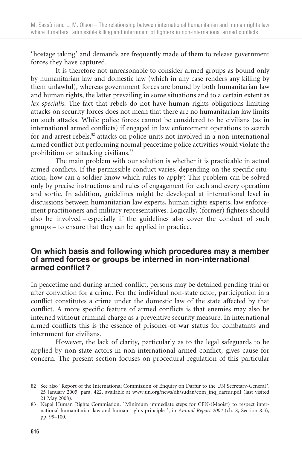'hostage taking' and demands are frequently made of them to release government forces they have captured.

It is therefore not unreasonable to consider armed groups as bound only by humanitarian law and domestic law (which in any case renders any killing by them unlawful), whereas government forces are bound by both humanitarian law and human rights, the latter prevailing in some situations and to a certain extent as lex specialis. The fact that rebels do not have human rights obligations limiting attacks on security forces does not mean that there are no humanitarian law limits on such attacks. While police forces cannot be considered to be civilians (as in international armed conflicts) if engaged in law enforcement operations to search for and arrest rebels, ${}^{82}$  attacks on police units not involved in a non-international armed conflict but performing normal peacetime police activities would violate the prohibition on attacking civilians.<sup>83</sup>

The main problem with our solution is whether it is practicable in actual armed conflicts. If the permissible conduct varies, depending on the specific situation, how can a soldier know which rules to apply? This problem can be solved only by precise instructions and rules of engagement for each and every operation and sortie. In addition, guidelines might be developed at international level in discussions between humanitarian law experts, human rights experts, law enforcement practitioners and military representatives. Logically, (former) fighters should also be involved – especially if the guidelines also cover the conduct of such groups – to ensure that they can be applied in practice.

### On which basis and following which procedures may a member of armed forces or groups be interned in non-international armed conflict?

In peacetime and during armed conflict, persons may be detained pending trial or after conviction for a crime. For the individual non-state actor, participation in a conflict constitutes a crime under the domestic law of the state affected by that conflict. A more specific feature of armed conflicts is that enemies may also be interned without criminal charge as a preventive security measure. In international armed conflicts this is the essence of prisoner-of-war status for combatants and internment for civilians.

However, the lack of clarity, particularly as to the legal safeguards to be applied by non-state actors in non-international armed conflict, gives cause for concern. The present section focuses on procedural regulation of this particular

<sup>82</sup> See also 'Report of the International Commission of Enquiry on Darfur to the UN Secretary-General', 25 January 2005, para. 422, available at www.un.org/news/dh/sudan/com\_inq\_darfur.pdf (last visited 21 May 2008).

<sup>83</sup> Nepal Human Rights Commission, ' Minimum immediate steps for CPN-(Maoist) to respect international humanitarian law and human rights principles ', in Annual Report 2004 (ch. 8, Section 8.3), pp. 99–100.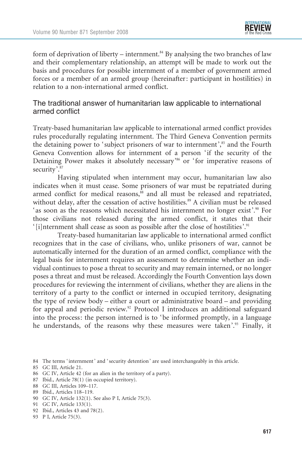

form of deprivation of liberty – internment. $84$  By analysing the two branches of law and their complementary relationship, an attempt will be made to work out the basis and procedures for possible internment of a member of government armed forces or a member of an armed group (hereinafter: participant in hostilities) in relation to a non-international armed conflict.

#### The traditional answer of humanitarian law applicable to international armed conflict

Treaty-based humanitarian law applicable to international armed conflict provides rules procedurally regulating internment. The Third Geneva Convention permits the detaining power to 'subject prisoners of war to internment',<sup>85</sup> and the Fourth Geneva Convention allows for internment of a person 'if the security of the Detaining Power makes it absolutely necessary<sup>36</sup> or 'for imperative reasons of security'.<sup>87</sup>

Having stipulated when internment may occur, humanitarian law also indicates when it must cease. Some prisoners of war must be repatriated during armed conflict for medical reasons,<sup>88</sup> and all must be released and repatriated, without delay, after the cessation of active hostilities.<sup>89</sup> A civilian must be released 'as soon as the reasons which necessitated his internment no longer exist'.<sup>90</sup> For those civilians not released during the armed conflict, it states that their '[i]nternment shall cease as soon as possible after the close of hostilities'.<sup>91</sup>

Treaty-based humanitarian law applicable to international armed conflict recognizes that in the case of civilians, who, unlike prisoners of war, cannot be automatically interned for the duration of an armed conflict, compliance with the legal basis for internment requires an assessment to determine whether an individual continues to pose a threat to security and may remain interned, or no longer poses a threat and must be released. Accordingly the Fourth Convention lays down procedures for reviewing the internment of civilians, whether they are aliens in the territory of a party to the conflict or interned in occupied territory, designating the type of review body – either a court or administrative board – and providing for appeal and periodic review.<sup>92</sup> Protocol I introduces an additional safeguard into the process: the person interned is to 'be informed promptly, in a language he understands, of the reasons why these measures were taken'.<sup>93</sup> Finally, it

- 85 GC III, Article 21.
- 86 GC IV, Article 42 (for an alien in the territory of a party).
- 87 Ibid., Article 78(1) (in occupied territory).
- 88 GC III, Articles 109–117.
- 89 Ibid., Articles 118–119.
- 90 GC IV, Article 132(1). See also P I, Article 75(3).
- 91 GC IV, Article 133(1).
- 92 Ibid., Articles 43 and 78(2).
- 93 P I, Article 75(3).

<sup>84</sup> The terms 'internment' and 'security detention' are used interchangeably in this article.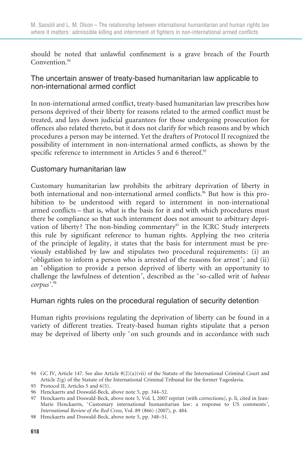should be noted that unlawful confinement is a grave breach of the Fourth Convention<sup>94</sup>

## The uncertain answer of treaty-based humanitarian law applicable to non-international armed conflict

In non-international armed conflict, treaty-based humanitarian law prescribes how persons deprived of their liberty for reasons related to the armed conflict must be treated, and lays down judicial guarantees for those undergoing prosecution for offences also related thereto, but it does not clarify for which reasons and by which procedures a person may be interned. Yet the drafters of Protocol II recognized the possibility of internment in non-international armed conflicts, as shown by the specific reference to internment in Articles 5 and 6 thereof.<sup>95</sup>

## Customary humanitarian law

Customary humanitarian law prohibits the arbitrary deprivation of liberty in both international and non-international armed conflicts.<sup>96</sup> But how is this prohibition to be understood with regard to internment in non-international armed conflicts – that is, what is the basis for it and with which procedures must there be compliance so that such internment does not amount to arbitrary deprivation of liberty? The non-binding commentary<sup>97</sup> in the ICRC Study interprets this rule by significant reference to human rights. Applying the two criteria of the principle of legality, it states that the basis for internment must be previously established by law and stipulates two procedural requirements: (i) an 'obligation to inform a person who is arrested of the reasons for arrest'; and (ii) an 'obligation to provide a person deprived of liberty with an opportunity to challenge the lawfulness of detention', described as the 'so-called writ of habeas corpus'.98

## Human rights rules on the procedural regulation of security detention

Human rights provisions regulating the deprivation of liberty can be found in a variety of different treaties. Treaty-based human rights stipulate that a person may be deprived of liberty only 'on such grounds and in accordance with such

<sup>94</sup> GC IV, Article 147. See also Article 8(2)(a)(vii) of the Statute of the International Criminal Court and Article 2(g) of the Statute of the International Criminal Tribunal for the former Yugoslavia.

<sup>95</sup> Protocol II, Articles 5 and 6(5).

<sup>96</sup> Henckaerts and Doswald-Beck, above note 5, pp. 344–52.

<sup>97</sup> Henckaerts and Doswald-Beck, above note 5, Vol. I, 2007 reprint (with corrections), p. li, cited in Jean-Marie Henckaerts, 'Customary international humanitarian law: a response to US comments', International Review of the Red Cross, Vol. 89 (866) (2007), p. 484.

<sup>98</sup> Henckaerts and Doswald-Beck, above note 5, pp. 348–51.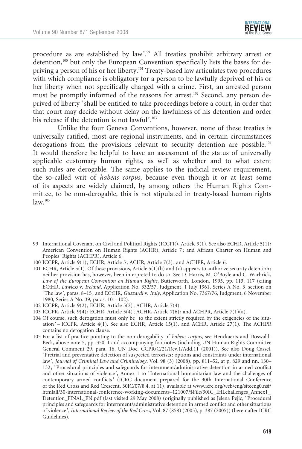

procedure as are established by law'.<sup>99</sup> All treaties prohibit arbitrary arrest or detention,<sup>100</sup> but only the European Convention specifically lists the bases for depriving a person of his or her liberty.101 Treaty-based law articulates two procedures with which compliance is obligatory for a person to be lawfully deprived of his or her liberty when not specifically charged with a crime. First, an arrested person must be promptly informed of the reasons for arrest.<sup>102</sup> Second, any person deprived of liberty 'shall be entitled to take proceedings before a court, in order that that court may decide without delay on the lawfulness of his detention and order his release if the detention is not lawful'.<sup>103</sup>

Unlike the four Geneva Conventions, however, none of these treaties is universally ratified, most are regional instruments, and in certain circumstances derogations from the provisions relevant to security detention are possible.<sup>104</sup> It would therefore be helpful to have an assessment of the status of universally applicable customary human rights, as well as whether and to what extent such rules are derogable. The same applies to the judicial review requirement, the so-called writ of habeas corpus, because even though it or at least some of its aspects are widely claimed, by among others the Human Rights Committee, to be non-derogable, this is not stipulated in treaty-based human rights  $law<sup>105</sup>$ 

- 99 International Covenant on Civil and Political Rights (ICCPR), Article 9(1). See also ECHR, Article 5(1) ; American Convention on Human Rights (ACHR), Article 7; and African Charter on Human and Peoples' Rights (ACHPR), Article 6.
- 100 ICCPR, Article 9(1); ECHR, Article 5; ACHR, Article 7(3); and ACHPR, Article 6.
- 101 ECHR, Article 5(1). Of these provisions, Article 5(1)(b) and (c) appears to authorize security detention ; neither provision has, however, been interpreted to do so. See D. Harris, M. O'Boyle and C. Warbrick, Law of the European Convention on Human Rights, Butterworth, London, 1995, pp. 113, 117 (citing ECtHR, Lawless v. Ireland, Application No. 332/57, Judgment, 1 July 1961, Series A No. 3, section on ' The law ', paras. 8–15 ; and ECtHR, Guzzardi v. Italy, Application No. 7367/76, Judgment, 6 November 1980, Series A No. 39, paras. 101–102).
- 102 ICCPR, Article 9(2) ; ECHR, Article 5(2) ; ACHR, Article 7(4).
- 103 ICCPR, Article 9(4) ; ECHR, Article 5(4) ; ACHR, Article 7(6) ; and ACHPR, Article 7(1)(a).
- 104 Of course, such derogation must only be 'to the extent strictly required by the exigencies of the situation ' – ICCPR, Article 4(1). See also ECHR, Article 15(1), and ACHR, Article 27(1). The ACHPR contains no derogation clause.
- 105 For a list of practice pointing to the non-derogability of habeas corpus, see Henckaerts and Doswald-Beck, above note 5, pp. 350–1 and accompanying footnotes (including UN Human Rights Committee General Comment 29, para. 16, UN Doc. CCPR/C/21/Rev.1/Add.11 (2001)). See also Doug Cassel, ' Pretrial and preventative detection of suspected terrorists : options and constraints under international law', Journal of Criminal Law and Criminology, Vol. 98 (3) (2008), pp. 811–52, at p. 829 and nn. 130– 132 ; ' Procedural principles and safeguards for internment/administrative detention in armed conflict and other situations of violence ', Annex 1 to ' International humanitarian law and the challenges of contemporary armed conflicts' (ICRC document prepared for the 30th International Conference of the Red Cross and Red Crescent, 30IC/07/8.4, at 11), available at www.icrc.org/web/eng/siteeng0.nsf/ htmlall/30-international-conference-working-documents–121007/\$File/30IC\_IHLchallenges\_Annex1\_ Detention\_FINAL\_EN.pdf (last visited 29 May 2008) (originally published as Jelena Pejic, ' Procedural principles and safeguards for internment/administrative detention in armed conflict and other situations of violence ', International Review of the Red Cross, Vol. 87 (858) (2005), p. 387 (2005)) (hereinafter ICRC Guidelines).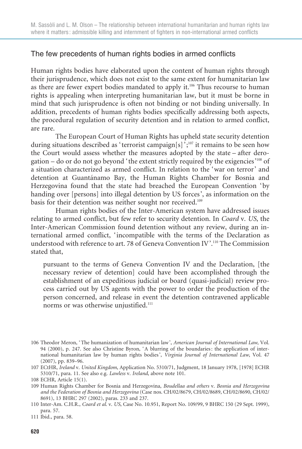### The few precedents of human rights bodies in armed conflicts

Human rights bodies have elaborated upon the content of human rights through their jurisprudence, which does not exist to the same extent for humanitarian law as there are fewer expert bodies mandated to apply it.<sup>106</sup> Thus recourse to human rights is appealing when interpreting humanitarian law, but it must be borne in mind that such jurisprudence is often not binding or not binding universally. In addition, precedents of human rights bodies specifically addressing both aspects, the procedural regulation of security detention and in relation to armed conflict, are rare.

The European Court of Human Rights has upheld state security detention during situations described as 'terrorist campaign[s]<sup> $\cdot$ </sup>;<sup>107</sup> it remains to be seen how the Court would assess whether the measures adopted by the state – after derogation – do or do not go beyond 'the extent strictly required by the exigencies'<sup>108</sup> of a situation characterized as armed conflict. In relation to the 'war on terror' and detention at Guantánamo Bay, the Human Rights Chamber for Bosnia and Herzegovina found that the state had breached the European Convention 'by handing over [persons] into illegal detention by US forces', as information on the basis for their detention was neither sought nor received.<sup>109</sup>

Human rights bodies of the Inter-American system have addressed issues relating to armed conflict, but few refer to security detention. In Coard v. US, the Inter-American Commission found detention without any review, during an international armed conflict, 'incompatible with the terms of the Declaration as understood with reference to art. 78 of Geneva Convention IV'.<sup>110</sup> The Commission stated that,

pursuant to the terms of Geneva Convention IV and the Declaration, [the necessary review of detention] could have been accomplished through the establishment of an expeditious judicial or board (quasi-judicial) review process carried out by US agents with the power to order the production of the person concerned, and release in event the detention contravened applicable norms or was otherwise unjustified.<sup>111</sup>

<sup>106</sup> Theodor Meron, 'The humanization of humanitarian law', American Journal of International Law, Vol. 94 (2000), p. 247. See also Christine Byron, ' A blurring of the boundaries : the application of international humanitarian law by human rights bodies', Virginia Journal of International Law, Vol. 47 (2007), pp. 839–96.

<sup>107</sup> ECtHR, Ireland v. United Kingdom, Application No. 5310/71, Judgment, 18 January 1978, [1978] ECHR 5310/71, para. 11. See also e.g. Lawless v. Ireland, above note 101.

<sup>108</sup> ECHR, Article 15(1).

<sup>109</sup> Human Rights Chamber for Bosnia and Herzegovina, Boudellaa and others v. Bosnia and Herzegovina and the Federation of Bosnia and Herzegovina (Case nos. CH/02/8679, CH/02/8689, CH/02/8690, CH/02/ 8691), 13 BHRC 297 (2002), paras. 233 and 237.

<sup>110</sup> Inter-Am. C.H.R., Coard et al. v. US, Case No. 10.951, Report No. 109/99, 9 BHRC 150 (29 Sept. 1999), para. 57.

<sup>111</sup> Ibid., para. 58.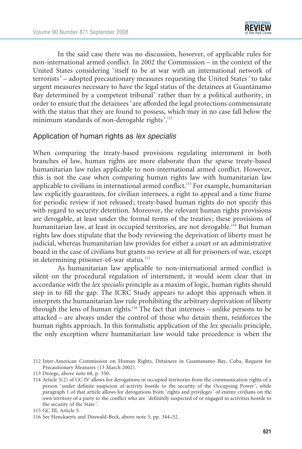

In the said case there was no discussion, however, of applicable rules for non-international armed conflict. In 2002 the Commission – in the context of the United States considering 'itself to be at war with an international network of terrorists' – adopted precautionary measures requesting the United States 'to take urgent measures necessary to have the legal status of the detainees at Guantánamo Bay determined by a competent tribunal' rather than by a political authority, in order to ensure that the detainees 'are afforded the legal protections commensurate with the status that they are found to possess, which may in no case fall below the minimum standards of non-derogable rights'.112

#### Application of human rights as lex specialis

When comparing the treaty-based provisions regulating internment in both branches of law, human rights are more elaborate than the sparse treaty-based humanitarian law rules applicable to non-international armed conflict. However, this is not the case when comparing human rights law with humanitarian law applicable to civilians in international armed conflict.<sup>113</sup> For example, humanitarian law explicitly guarantees, for civilian internees, a right to appeal and a time frame for periodic review if not released; treaty-based human rights do not specify this with regard to security detention. Moreover, the relevant human rights provisions are derogable, at least under the formal terms of the treaties; these provisions of humanitarian law, at least in occupied territories, are not derogable.<sup>114</sup> But human rights law does stipulate that the body reviewing the deprivation of liberty must be judicial, whereas humanitarian law provides for either a court or an administrative board in the case of civilians but grants no review at all for prisoners of war, except in determining prisoner-of-war status.<sup>115</sup>

As humanitarian law applicable to non-international armed conflict is silent on the procedural regulation of internment, it would seem clear that in accordance with the lex specialis principle as a maxim of logic, human rights should step in to fill the gap. The ICRC Study appears to adopt this approach when it interprets the humanitarian law rule prohibiting the arbitrary deprivation of liberty through the lens of human rights.116 The fact that internees – unlike persons to be attacked – are always under the control of those who detain them, reinforces the human rights approach. In this formalistic application of the lex specialis principle, the only exception where humanitarian law would take precedence is when the

<sup>112</sup> Inter-American Commission on Human Rights, Detainees in Guantanamo Bay, Cuba, Request for Precautionary Measures (13 March 2002).

<sup>113</sup> Droege, above note 68, p. 350.

<sup>114</sup> Article 5(2) of GC IV allows for derogations in occupied territories from the communication rights of a person ' under definite suspicion of activity hostile to the security of the Occupying Power ', while paragraph 1 of that article allows for derogations from ' rights and privileges ' of enemy civilians on the own territory of a party to the conflict who are ' definitely suspected of or engaged in activities hostile to the security of the State '.

<sup>115</sup> GC III, Article 5.

<sup>116</sup> See Henckaerts and Doswald-Beck, above note 5, pp. 344–52.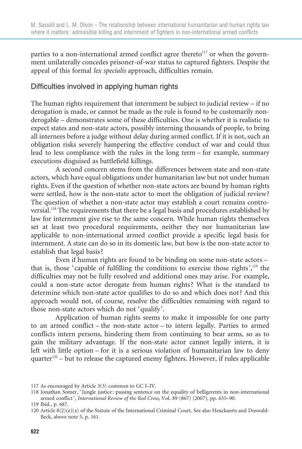parties to a non-international armed conflict agree thereto $117$  or when the government unilaterally concedes prisoner-of-war status to captured fighters. Despite the appeal of this formal lex specialis approach, difficulties remain.

#### Difficulties involved in applying human rights

The human rights requirement that internment be subject to judicial review – if no derogation is made, or cannot be made as the rule is found to be customarily nonderogable – demonstrates some of these difficulties. One is whether it is realistic to expect states and non-state actors, possibly interning thousands of people, to bring all internees before a judge without delay during armed conflict. If it is not, such an obligation risks severely hampering the effective conduct of war and could thus lead to less compliance with the rules in the long term – for example, summary executions disguised as battlefield killings.

A second concern stems from the differences between state and non-state actors, which have equal obligations under humanitarian law but not under human rights. Even if the question of whether non-state actors are bound by human rights were settled, how is the non-state actor to meet the obligation of judicial review? The question of whether a non-state actor may establish a court remains controversial.118 The requirements that there be a legal basis and procedures established by law for internment give rise to the same concern. While human rights themselves set at least two procedural requirements, neither they nor humanitarian law applicable to non-international armed conflict provide a specific legal basis for internment. A state can do so in its domestic law, but how is the non-state actor to establish that legal basis?

Even if human rights are found to be binding on some non-state actors – that is, those 'capable of fulfilling the conditions to exercise those rights',119 the difficulties may not be fully resolved and additional ones may arise. For example, could a non-state actor derogate from human rights? What is the standard to determine which non-state actor qualifies to do so and which does not? And this approach would not, of course, resolve the difficulties remaining with regard to those non-state actors which do not 'qualify'.

Application of human rights seems to make it impossible for one party to an armed conflict – the non-state actor – to intern legally. Parties to armed conflicts intern persons, hindering them from continuing to bear arms, so as to gain the military advantage. If the non-state actor cannot legally intern, it is left with little option – for it is a serious violation of humanitarian law to deny  $quarter<sup>120</sup> - but to release the captured enemy fighters. However, if rules applicable$ 

<sup>117</sup> As encouraged by Article 3(3) common to GC I–IV.

<sup>118</sup> Jonathan Somer, ' Jungle justice : passing sentence on the equality of belligerents in non-international armed conflict ', International Review of the Red Cross, Vol. 89 (867) (2007), pp. 655–90.

<sup>119</sup> Ibid., p. 687.

<sup>120</sup> Article  $8(2)(e)(x)$  of the Statute of the International Criminal Court. See also Henckaerts and Doswald-Beck, above note 5, p. 161.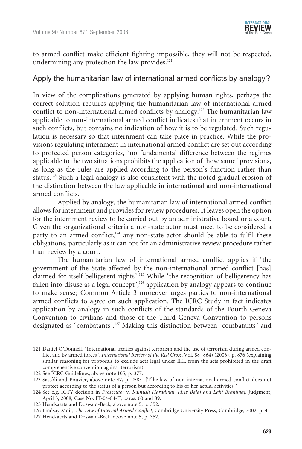to armed conflict make efficient fighting impossible, they will not be respected, undermining any protection the law provides. $121$ 

#### Apply the humanitarian law of international armed conflicts by analogy?

In view of the complications generated by applying human rights, perhaps the correct solution requires applying the humanitarian law of international armed conflict to non-international armed conflicts by analogy.<sup>122</sup> The humanitarian law applicable to non-international armed conflict indicates that internment occurs in such conflicts, but contains no indication of how it is to be regulated. Such regulation is necessary so that internment can take place in practice. While the provisions regulating internment in international armed conflict are set out according to protected person categories, 'no fundamental difference between the regimes applicable to the two situations prohibits the application of those same' provisions, as long as the rules are applied according to the person's function rather than status.123 Such a legal analogy is also consistent with the noted gradual erosion of the distinction between the law applicable in international and non-international armed conflicts.

Applied by analogy, the humanitarian law of international armed conflict allows for internment and provides for review procedures. It leaves open the option for the internment review to be carried out by an administrative board or a court. Given the organizational criteria a non-state actor must meet to be considered a party to an armed conflict,<sup>124</sup> any non-state actor should be able to fulfil these obligations, particularly as it can opt for an administrative review procedure rather than review by a court.

The humanitarian law of international armed conflict applies if 'the government of the State affected by the non-international armed conflict [has] claimed for itself belligerent rights'.125 While 'the recognition of belligerency has fallen into disuse as a legal concept',<sup>126</sup> application by analogy appears to continue to make sense; Common Article 3 moreover urges parties to non-international armed conflicts to agree on such application. The ICRC Study in fact indicates application by analogy in such conflicts of the standards of the Fourth Geneva Convention to civilians and those of the Third Geneva Convention to persons designated as 'combatants'.127 Making this distinction between 'combatants' and

125 Henckaerts and Doswald-Beck, above note 5, p. 352.

<sup>121</sup> Daniel O'Donnell, ' International treaties against terrorism and the use of terrorism during armed conflict and by armed forces ', International Review of the Red Cross, Vol. 88 (864) (2006), p. 876 (explaining similar reasoning for proposals to exclude acts legal under IHL from the acts prohibited in the draft comprehensive convention against terrorism).

<sup>122</sup> See ICRC Guidelines, above note 105, p. 377.

<sup>123</sup> Sassoli and Bouvier, above note 47, p. 258: '[T]he law of non-international armed conflict does not protect according to the status of a person but according to his or her actual activities. '

<sup>124</sup> See e.g. ICTY decision in Prosecutor v. Ramush Haradinaj, Idriz Balaj and Lahi Brahimaj, Judgment, April 3, 2008, Case No. IT-04-84-T, paras. 60 and 89.

<sup>126</sup> Lindsay Moir, The Law of Internal Armed Conflict, Cambridge University Press, Cambridge, 2002, p. 41.

<sup>127</sup> Henckaerts and Doswald-Beck, above note 5, p. 352.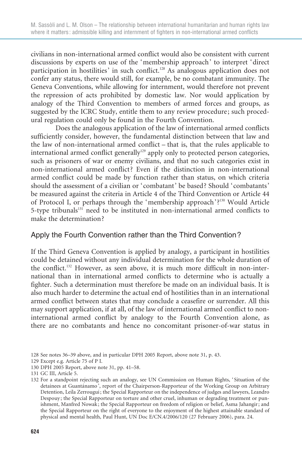civilians in non-international armed conflict would also be consistent with current discussions by experts on use of the 'membership approach' to interpret 'direct participation in hostilities' in such conflict.<sup>128</sup> As analogous application does not confer any status, there would still, for example, be no combatant immunity. The Geneva Conventions, while allowing for internment, would therefore not prevent the repression of acts prohibited by domestic law. Nor would application by analogy of the Third Convention to members of armed forces and groups, as suggested by the ICRC Study, entitle them to any review procedure; such procedural regulation could only be found in the Fourth Convention.

Does the analogous application of the law of international armed conflicts sufficiently consider, however, the fundamental distinction between that law and the law of non-international armed conflict – that is, that the rules applicable to international armed conflict generally<sup>129</sup> apply only to protected person categories, such as prisoners of war or enemy civilians, and that no such categories exist in non-international armed conflict? Even if the distinction in non-international armed conflict could be made by function rather than status, on which criteria should the assessment of a civilian or 'combatant' be based? Should 'combatants' be measured against the criteria in Article 4 of the Third Convention or Article 44 of Protocol I, or perhaps through the 'membership approach'?130 Would Article 5-type tribunals $131$  need to be instituted in non-international armed conflicts to make the determination?

### Apply the Fourth Convention rather than the Third Convention?

If the Third Geneva Convention is applied by analogy, a participant in hostilities could be detained without any individual determination for the whole duration of the conflict.<sup>132</sup> However, as seen above, it is much more difficult in non-international than in international armed conflicts to determine who is actually a fighter. Such a determination must therefore be made on an individual basis. It is also much harder to determine the actual end of hostilities than in an international armed conflict between states that may conclude a ceasefire or surrender. All this may support application, if at all, of the law of international armed conflict to noninternational armed conflict by analogy to the Fourth Convention alone, as there are no combatants and hence no concomitant prisoner-of-war status in

129 Except e.g. Article 75 of P I.

131 GC III, Article 5.

<sup>128</sup> See notes 36–39 above, and in particular DPH 2005 Report, above note 31, p. 43.

<sup>130</sup> DPH 2005 Report, above note 31, pp. 41–58.

<sup>132</sup> For a standpoint rejecting such an analogy, see UN Commission on Human Rights, ' Situation of the detainees at Guantánamo', report of the Chairperson-Rapporteur of the Working Group on Arbitrary Detention, Leila Zerrougui ; the Special Rapporteur on the independence of judges and lawyers, Leandro Despouy ; the Special Rapporteur on torture and other cruel, inhuman or degrading treatment or punishment, Manfred Nowak ; the Special Rapporteur on freedom of religion or belief, Asma Jahangir ; and the Special Rapporteur on the right of everyone to the enjoyment of the highest attainable standard of physical and mental health, Paul Hunt, UN Doc E/CN.4/2006/120 (27 February 2006), para. 24.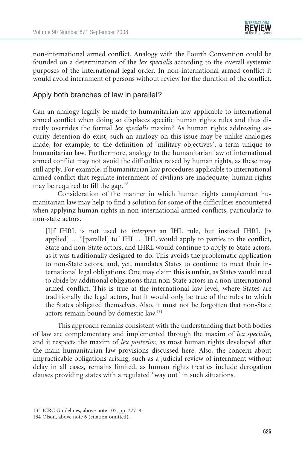

non-international armed conflict. Analogy with the Fourth Convention could be founded on a determination of the lex specialis according to the overall systemic purposes of the international legal order. In non-international armed conflict it would avoid internment of persons without review for the duration of the conflict.

#### Apply both branches of law in parallel?

Can an analogy legally be made to humanitarian law applicable to international armed conflict when doing so displaces specific human rights rules and thus directly overrides the formal lex specialis maxim? As human rights addressing security detention do exist, such an analogy on this issue may be unlike analogies made, for example, to the definition of 'military objectives', a term unique to humanitarian law. Furthermore, analogy to the humanitarian law of international armed conflict may not avoid the difficulties raised by human rights, as these may still apply. For example, if humanitarian law procedures applicable to international armed conflict that regulate internment of civilians are inadequate, human rights may be required to fill the gap.<sup>133</sup>

Consideration of the manner in which human rights complement humanitarian law may help to find a solution for some of the difficulties encountered when applying human rights in non-international armed conflicts, particularly to non-state actors.

[I]f IHRL is not used to interpret an IHL rule, but instead IHRL [is applied] … '[parallel] to' IHL … IHL would apply to parties to the conflict, State and non-State actors, and IHRL would continue to apply to State actors, as it was traditionally designed to do. This avoids the problematic application to non-State actors, and, yet, mandates States to continue to meet their international legal obligations. One may claim this is unfair, as States would need to abide by additional obligations than non-State actors in a non-international armed conflict. This is true at the international law level, where States are traditionally the legal actors, but it would only be true of the rules to which the States obligated themselves. Also, it must not be forgotten that non-State actors remain bound by domestic law.134

This approach remains consistent with the understanding that both bodies of law are complementary and implemented through the maxim of lex specialis, and it respects the maxim of lex posterior, as most human rights developed after the main humanitarian law provisions discussed here. Also, the concern about impracticable obligations arising, such as a judicial review of internment without delay in all cases, remains limited, as human rights treaties include derogation clauses providing states with a regulated 'way out' in such situations.

<sup>133</sup> ICRC Guidelines, above note 105, pp. 377–8. 134 Olson, above note 6 (citation omitted).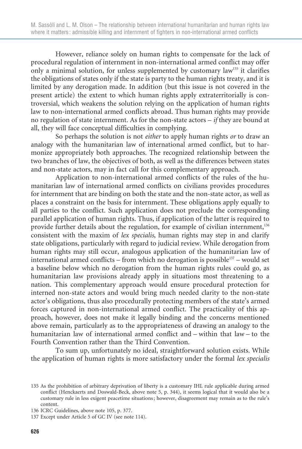However, reliance solely on human rights to compensate for the lack of procedural regulation of internment in non-international armed conflict may offer only a minimal solution, for unless supplemented by customary law<sup>135</sup> it clarifies the obligations of states only if the state is party to the human rights treaty, and it is limited by any derogation made. In addition (but this issue is not covered in the present article) the extent to which human rights apply extraterritorially is controversial, which weakens the solution relying on the application of human rights law to non-international armed conflicts abroad. Thus human rights may provide no regulation of state internment. As for the non-state actors – if they are bound at all, they will face conceptual difficulties in complying.

So perhaps the solution is not either to apply human rights or to draw an analogy with the humanitarian law of international armed conflict, but to harmonize appropriately both approaches. The recognized relationship between the two branches of law, the objectives of both, as well as the differences between states and non-state actors, may in fact call for this complementary approach.

Application to non-international armed conflicts of the rules of the humanitarian law of international armed conflicts on civilians provides procedures for internment that are binding on both the state and the non-state actor, as well as places a constraint on the basis for internment. These obligations apply equally to all parties to the conflict. Such application does not preclude the corresponding parallel application of human rights. Thus, if application of the latter is required to provide further details about the regulation, for example of civilian internment,<sup>136</sup> consistent with the maxim of lex specialis, human rights may step in and clarify state obligations, particularly with regard to judicial review. While derogation from human rights may still occur, analogous application of the humanitarian law of international armed conflicts – from which no derogation is possible<sup>137</sup> – would set a baseline below which no derogation from the human rights rules could go, as humanitarian law provisions already apply in situations most threatening to a nation. This complementary approach would ensure procedural protection for interned non-state actors and would bring much needed clarity to the non-state actor's obligations, thus also procedurally protecting members of the state's armed forces captured in non-international armed conflict. The practicality of this approach, however, does not make it legally binding and the concerns mentioned above remain, particularly as to the appropriateness of drawing an analogy to the humanitarian law of international armed conflict and – within that law – to the Fourth Convention rather than the Third Convention.

To sum up, unfortunately no ideal, straightforward solution exists. While the application of human rights is more satisfactory under the formal lex specialis

<sup>135</sup> As the prohibition of arbitrary deprivation of liberty is a customary IHL rule applicable during armed conflict (Henckaerts and Doswald-Beck, above note 5, p. 344), it seems logical that it would also be a customary rule in less exigent peacetime situations ; however, disagreement may remain as to the rule's content.

<sup>136</sup> ICRC Guidelines, above note 105, p. 377.

<sup>137</sup> Except under Article 5 of GC IV (see note 114).